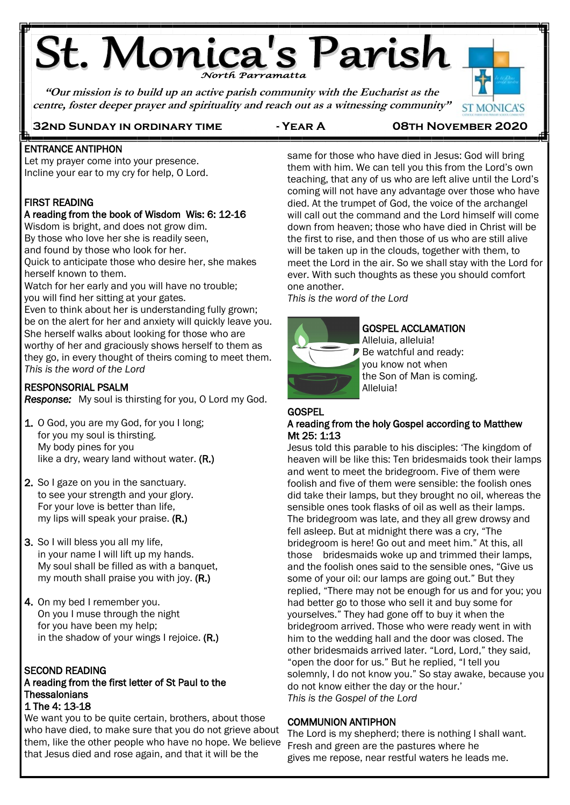# **St. Monica's Parish**

**"Our mission is to build up an active parish community with the Eucharist as the centre, foster deeper prayer and spirituality and reach out as a witnessing community"**



### **32nd Sunday in ordinary time - Year A 08th November 2020**

#### j ENTRANCE ANTIPHON

Let my prayer come into your presence. Incline your ear to my cry for help, O Lord.

### FIRST READING

### A reading from the book of Wisdom Wis: 6: 12-16

Wisdom is bright, and does not grow dim.

By those who love her she is readily seen,

and found by those who look for her.

Quick to anticipate those who desire her, she makes herself known to them.

Watch for her early and you will have no trouble; you will find her sitting at your gates.

Even to think about her is understanding fully grown; be on the alert for her and anxiety will quickly leave you. She herself walks about looking for those who are worthy of her and graciously shows herself to them as they go, in every thought of theirs coming to meet them. *This is the word of the Lord*

### RESPONSORIAL PSALM

*Response:* My soul is thirsting for you, O Lord my God.

- 1. O God, you are my God, for you I long; for you my soul is thirsting. My body pines for you like a dry, weary land without water. (R.)
- 2. So I gaze on you in the sanctuary. to see your strength and your glory. For your love is better than life, my lips will speak your praise. (R.)
- 3. So I will bless you all my life, in your name I will lift up my hands. My soul shall be filled as with a banquet, my mouth shall praise you with joy. (R.)
- 4. On my bed I remember you. On you I muse through the night for you have been my help; in the shadow of your wings I rejoice. (R.)

### SECOND READING A reading from the first letter of St Paul to the **Thessalonians** 1 The 4: 13-18

We want you to be quite certain, brothers, about those who have died, to make sure that you do not grieve about them, like the other people who have no hope. We believe that Jesus died and rose again, and that it will be the

same for those who have died in Jesus: God will bring them with him. We can tell you this from the Lord's own teaching, that any of us who are left alive until the Lord's coming will not have any advantage over those who have died. At the trumpet of God, the voice of the archangel will call out the command and the Lord himself will come down from heaven; those who have died in Christ will be the first to rise, and then those of us who are still alive will be taken up in the clouds, together with them, to meet the Lord in the air. So we shall stay with the Lord for ever. With such thoughts as these you should comfort one another.

*This is the word of the Lord*



### GOSPEL ACCLAMATION

Alleluia, alleluia! Be watchful and ready: you know not when the Son of Man is coming. Alleluia!

### **GOSPEL** A reading from the holy Gospel according to Matthew Mt 25: 1:13

Jesus told this parable to his disciples: 'The kingdom of heaven will be like this: Ten bridesmaids took their lamps and went to meet the bridegroom. Five of them were foolish and five of them were sensible: the foolish ones did take their lamps, but they brought no oil, whereas the sensible ones took flasks of oil as well as their lamps. The bridegroom was late, and they all grew drowsy and fell asleep. But at midnight there was a cry, "The bridegroom is here! Go out and meet him." At this, all those bridesmaids woke up and trimmed their lamps, and the foolish ones said to the sensible ones, "Give us some of your oil: our lamps are going out." But they replied, "There may not be enough for us and for you; you had better go to those who sell it and buy some for yourselves." They had gone off to buy it when the bridegroom arrived. Those who were ready went in with him to the wedding hall and the door was closed. The other bridesmaids arrived later. "Lord, Lord," they said, "open the door for us." But he replied, "I tell you solemnly, I do not know you." So stay awake, because you do not know either the day or the hour.' *This is the Gospel of the Lord*

### COMMUNION ANTIPHON

The Lord is my shepherd; there is nothing I shall want. Fresh and green are the pastures where he gives me repose, near restful waters he leads me.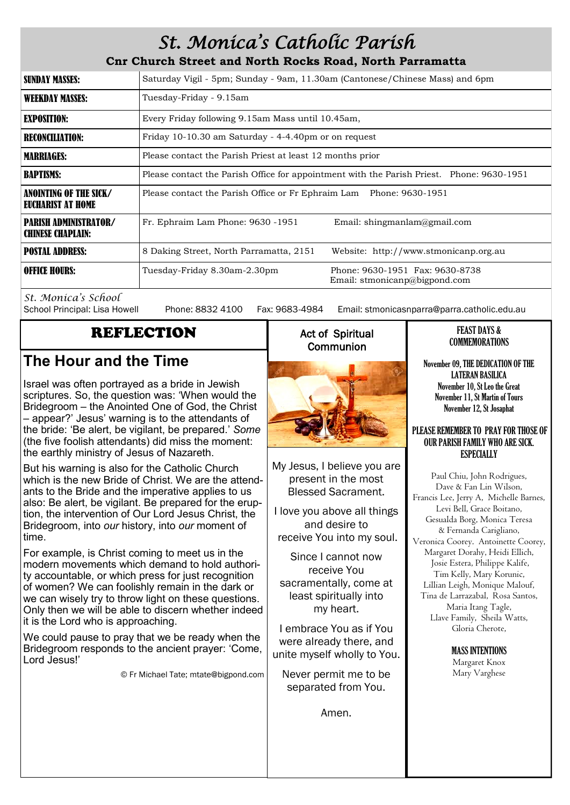## *St. Monica's Catholic Parish*

**Cnr Church Street and North Rocks Road, North Parramatta**

| <b>SUNDAY MASSES:</b>                                    | Saturday Vigil - 5pm; Sunday - 9am, 11.30am (Cantonese/Chinese Mass) and 6pm              |                                                                  |  |
|----------------------------------------------------------|-------------------------------------------------------------------------------------------|------------------------------------------------------------------|--|
| <b>WEEKDAY MASSES:</b>                                   | Tuesday-Friday - 9.15am                                                                   |                                                                  |  |
| <b>EXPOSITION:</b>                                       | Every Friday following 9.15am Mass until 10.45am,                                         |                                                                  |  |
| <b>RECONCILIATION:</b>                                   | Friday 10-10.30 am Saturday - 4-4.40pm or on request                                      |                                                                  |  |
| <b>MARRIAGES:</b>                                        | Please contact the Parish Priest at least 12 months prior                                 |                                                                  |  |
| <b>BAPTISMS:</b>                                         | Please contact the Parish Office for appointment with the Parish Priest. Phone: 9630-1951 |                                                                  |  |
| ANOINTING OF THE SICK/<br>EUCHARIST AT HOME              | Please contact the Parish Office or Fr Ephraim Lam Phone: 9630-1951                       |                                                                  |  |
| <b>PARISH ADMINISTRATOR/</b><br><b>CHINESE CHAPLAIN:</b> | Fr. Ephraim Lam Phone: 9630 -1951                                                         | Email: shingmanlam@gmail.com                                     |  |
| <b>POSTAL ADDRESS:</b>                                   | 8 Daking Street, North Parramatta, 2151                                                   | Website: http://www.stmonicanp.org.au                            |  |
| <b>OFFICE HOURS:</b>                                     | Tuesday-Friday 8.30am-2.30pm                                                              | Phone: 9630-1951 Fax: 9630-8738<br>Email: stmonicanp@bigpond.com |  |

*St. Monica's School*

Phone: 8832 4100 Fax: 9683-4984 Email: stmonicasnparra@parra.catholic.edu.au

### REFLECTION

### **The Hour and the Time**

Israel was often portrayed as a bride in Jewish scriptures. So, the question was: 'When would the Bridegroom – the Anointed One of God, the Christ – appear?' Jesus' warning is to the attendants of the bride: 'Be alert, be vigilant, be prepared.' *Some* (the five foolish attendants) did miss the moment: the earthly ministry of Jesus of Nazareth.

But his warning is also for the Catholic Church which is the new Bride of Christ. We are the attendants to the Bride and the imperative applies to us also: Be alert, be vigilant. Be prepared for the eruption, the intervention of Our Lord Jesus Christ, the Bridegroom, into *our* history, into *our* moment of time.

For example, is Christ coming to meet us in the modern movements which demand to hold authority accountable, or which press for just recognition of women? We can foolishly remain in the dark or we can wisely try to throw light on these questions. Only then we will be able to discern whether indeed it is the Lord who is approaching.

We could pause to pray that we be ready when the Bridegroom responds to the ancient prayer: 'Come, Lord Jesus!'

© Fr Michael Tate; mtate@bigpond.com

### Act of Spiritual **Communion**



My Jesus, I believe you are present in the most Blessed Sacrament.

I love you above all things and desire to receive You into my soul.

Since I cannot now receive You sacramentally, come at least spiritually into my heart.

I embrace You as if You were already there, and unite myself wholly to You.

Never permit me to be separated from You.

Amen.

### FEAST DAYS & COMMEMORATIONS

November 09, THE DEDICATION OF THE LATERAN BASILICA November 10, St Leo the Great November 11, St Martin of Tours November 12, St Josaphat

### PLEASE REMEMBER TO PRAY FOR THOSE OF OUR PARISH FAMILY WHO ARE SICK. **ESPECIALLY**

Paul Chiu, John Rodrigues, Dave & Fan Lin Wilson, Francis Lee, Jerry A, Michelle Barnes, Levi Bell, Grace Boitano, Gesualda Borg, Monica Teresa & Fernanda Carigliano, Veronica Coorey. Antoinette Coorey, Margaret Dorahy, Heidi Ellich, Josie Estera, Philippe Kalife, Tim Kelly, Mary Korunic, Lillian Leigh, Monique Malouf, Tina de Larrazabal, Rosa Santos, Maria Itang Tagle, Llave Family, Sheila Watts, Gloria Cherote,

> MASS INTENTIONS Margaret Knox Mary Varghese